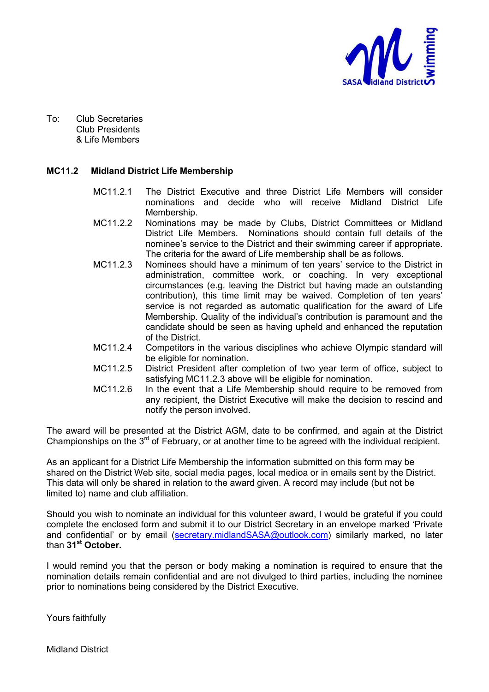

To: Club Secretaries Club Presidents & Life Members

#### **MC11.2 Midland District Life Membership**

- MC11.2.1 The District Executive and three District Life Members will consider nominations and decide who will receive Midland District Life Membership.
- MC11.2.2 Nominations may be made by Clubs, District Committees or Midland District Life Members. Nominations should contain full details of the nominee's service to the District and their swimming career if appropriate. The criteria for the award of Life membership shall be as follows.
- MC11.2.3 Nominees should have a minimum of ten years' service to the District in administration, committee work, or coaching. In very exceptional circumstances (e.g. leaving the District but having made an outstanding contribution), this time limit may be waived. Completion of ten years' service is not regarded as automatic qualification for the award of Life Membership. Quality of the individual's contribution is paramount and the candidate should be seen as having upheld and enhanced the reputation of the District.
- MC11.2.4 Competitors in the various disciplines who achieve Olympic standard will be eligible for nomination.
- MC11.2.5 District President after completion of two year term of office, subject to satisfying MC11.2.3 above will be eligible for nomination.
- MC11.2.6 In the event that a Life Membership should require to be removed from any recipient, the District Executive will make the decision to rescind and notify the person involved.

The award will be presented at the District AGM, date to be confirmed, and again at the District Championships on the  $3^{rd}$  of February, or at another time to be agreed with the individual recipient.

As an applicant for a District Life Membership the information submitted on this form may be shared on the District Web site, social media pages, local medioa or in emails sent by the District. This data will only be shared in relation to the award given. A record may include (but not be limited to) name and club affiliation.

Should you wish to nominate an individual for this volunteer award, I would be grateful if you could complete the enclosed form and submit it to our District Secretary in an envelope marked 'Private and confidential' or by email (secretary.midlandSASA@outlook.com) similarly marked, no later than **31st October.**

I would remind you that the person or body making a nomination is required to ensure that the nomination details remain confidential and are not divulged to third parties, including the nominee prior to nominations being considered by the District Executive.

Yours faithfully

Midland District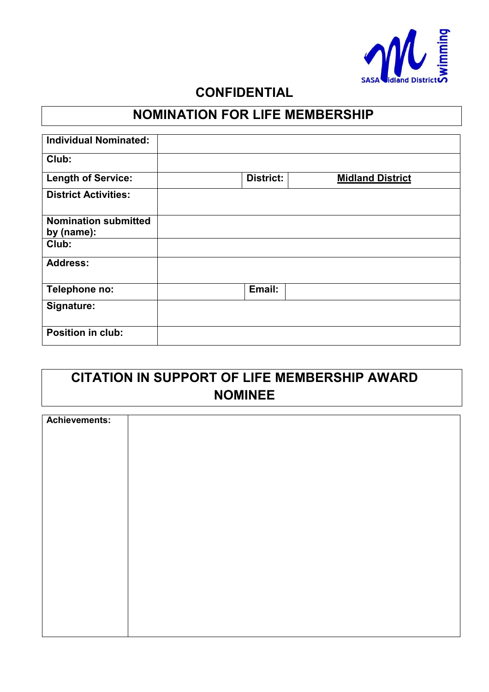

#### **CONFIDENTIAL**

### **NOMINATION FOR LIFE MEMBERSHIP**

| <b>Individual Nominated:</b> |                  |                         |
|------------------------------|------------------|-------------------------|
| Club:                        |                  |                         |
| <b>Length of Service:</b>    | <b>District:</b> | <b>Midland District</b> |
| <b>District Activities:</b>  |                  |                         |
| <b>Nomination submitted</b>  |                  |                         |
| by (name):                   |                  |                         |
| Club:                        |                  |                         |
| <b>Address:</b>              |                  |                         |
| Telephone no:                | Email:           |                         |
| Signature:                   |                  |                         |
| Position in club:            |                  |                         |

## **CITATION IN SUPPORT OF LIFE MEMBERSHIP AWARD NOMINEE**

| Achievements: |  |
|---------------|--|
|               |  |
|               |  |
|               |  |
|               |  |
|               |  |
|               |  |
|               |  |
|               |  |
|               |  |
|               |  |
|               |  |
|               |  |
|               |  |
|               |  |
|               |  |